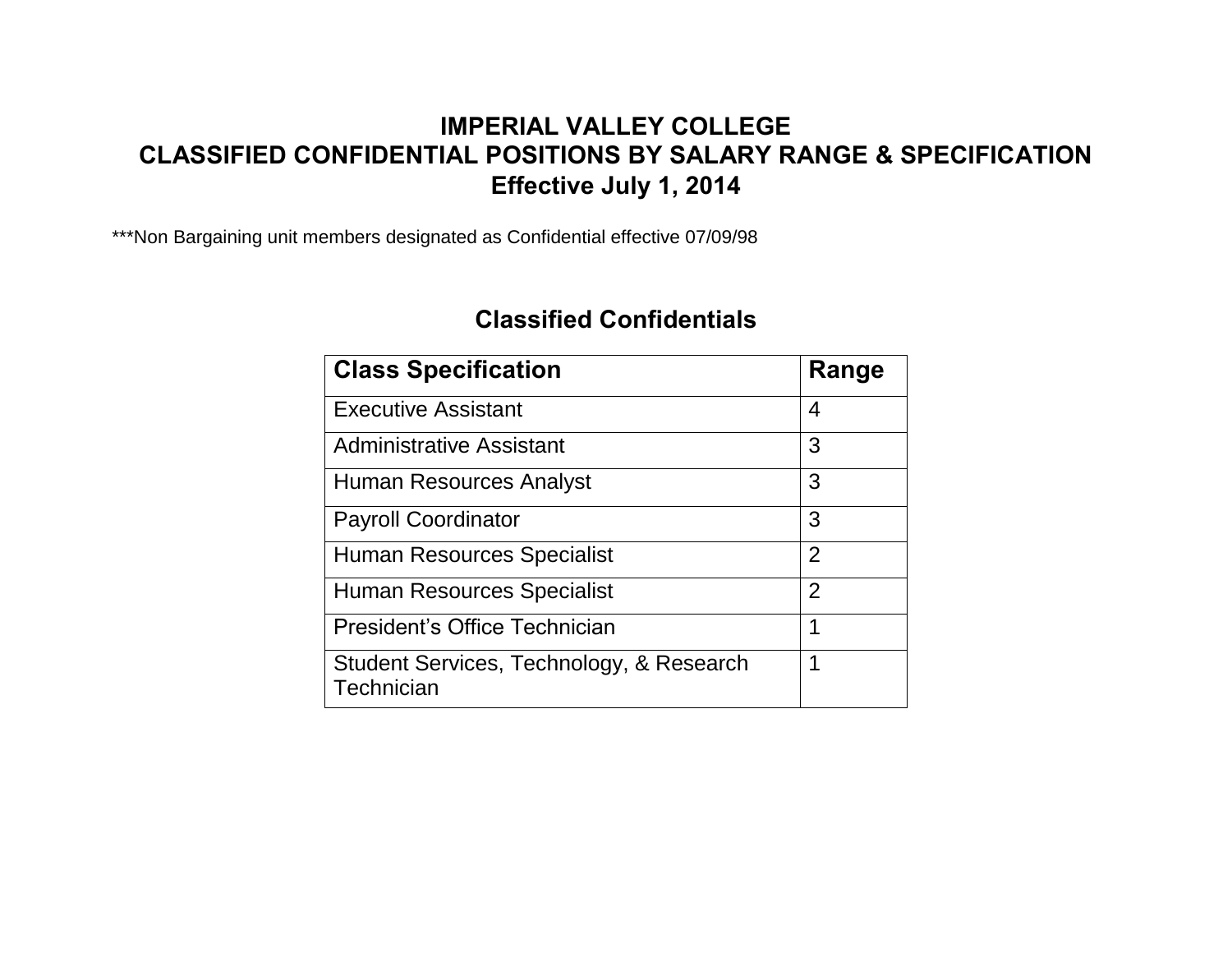## **IMPERIAL VALLEY COLLEGE CLASSIFIED CONFIDENTIAL POSITIONS BY SALARY RANGE & SPECIFICATION Effective July 1, 2014**

\*\*\*Non Bargaining unit members designated as Confidential effective 07/09/98

## **Classified Confidentials**

| <b>Class Specification</b>                             | Range          |
|--------------------------------------------------------|----------------|
| <b>Executive Assistant</b>                             | 4              |
| <b>Administrative Assistant</b>                        | 3              |
| Human Resources Analyst                                | 3              |
| <b>Payroll Coordinator</b>                             | 3              |
| <b>Human Resources Specialist</b>                      | $\overline{2}$ |
| <b>Human Resources Specialist</b>                      | $\overline{2}$ |
| President's Office Technician                          | 1              |
| Student Services, Technology, & Research<br>Technician | 1              |